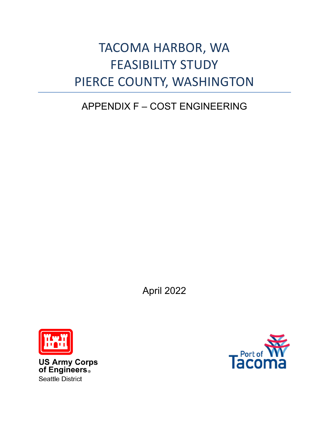## TACOMA HARBOR, WA FEASIBILITY STUDY PIERCE COUNTY, WASHINGTON

## APPENDIX F – COST ENGINEERING

April 2022



**US Army Corps<br>of Engineers**® **Seattle District** 

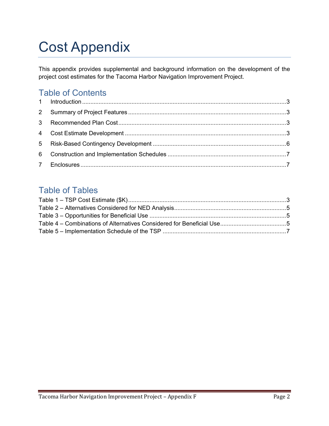# Cost Appendix

This appendix provides supplemental and background information on the development of the project cost estimates for the Tacoma Harbor Navigation Improvement Project.

### Table of Contents

### Table of Tables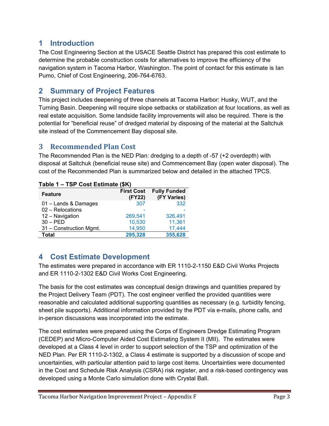### <span id="page-2-0"></span>**1 Introduction**

The Cost Engineering Section at the USACE Seattle District has prepared this cost estimate to determine the probable construction costs for alternatives to improve the efficiency of the navigation system in Tacoma Harbor, Washington. The point of contact for this estimate is Ian Pumo, Chief of Cost Engineering, 206-764-6763.

### <span id="page-2-1"></span>**2 Summary of Project Features**

This project includes deepening of three channels at Tacoma Harbor: Husky, WUT, and the Turning Basin. Deepening will require slope setbacks or stabilization at four locations, as well as real estate acquisition. Some landside facility improvements will also be required. There is the potential for "beneficial reuse" of dredged material by disposing of the material at the Saltchuk site instead of the Commencement Bay disposal site.

#### <span id="page-2-2"></span>**3 Recommended Plan Cost**

The Recommended Plan is the NED Plan: dredging to a depth of -57 (+2 overdepth) with disposal at Saltchuk (beneficial reuse site) and Commencement Bay (open water disposal). The cost of the Recommended Plan is summarized below and detailed in the attached TPCS.

| $1$ avic $1 - 1$ or $0$ ost Lournale $\left\{ \Psi \right\}$ |                             |                                    |
|--------------------------------------------------------------|-----------------------------|------------------------------------|
| <b>Feature</b>                                               | <b>First Cost</b><br>(FY22) | <b>Fully Funded</b><br>(FY Varies) |
| 01 - Lands & Damages                                         | 307                         | 332                                |
| 02 - Relocations                                             |                             |                                    |
| 12 - Navigation                                              | 269,541                     | 326,491                            |
| $30 - PED$                                                   | 10,530                      | 11,361                             |
| 31 - Construction Mgmt.                                      | 14,950                      | 17,444                             |
| Total                                                        | 295,328                     | 355,628                            |
|                                                              |                             |                                    |

#### <span id="page-2-4"></span>**Table 1 – TSP Cost Estimate (\$K)**

### <span id="page-2-3"></span>**4 Cost Estimate Development**

The estimates were prepared in accordance with ER 1110-2-1150 E&D Civil Works Projects and ER 1110-2-1302 E&D Civil Works Cost Engineering.

The basis for the cost estimates was conceptual design drawings and quantities prepared by the Project Delivery Team (PDT). The cost engineer verified the provided quantities were reasonable and calculated additional supporting quantities as necessary (e.g. turbidity fencing, sheet pile supports). Additional information provided by the PDT via e-mails, phone calls, and in-person discussions was incorporated into the estimate.

The cost estimates were prepared using the Corps of Engineers Dredge Estimating Program (CEDEP) and Micro-Computer Aided Cost Estimating System II (MII). The estimates were developed at a Class 4 level in order to support selection of the TSP and optimization of the NED Plan. Per ER 1110-2-1302, a Class 4 estimate is supported by a discussion of scope and uncertainties, with particular attention paid to large cost items. Uncertainties were documented in the Cost and Schedule Risk Analysis (CSRA) risk register, and a risk-based contingency was developed using a Monte Carlo simulation done with Crystal Ball.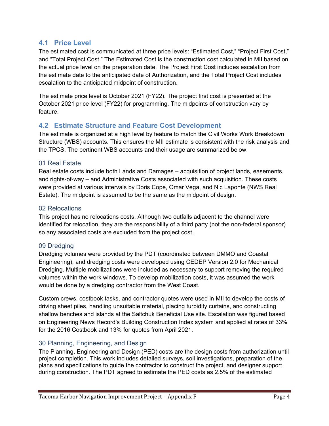#### **4.1 Price Level**

The estimated cost is communicated at three price levels: "Estimated Cost," "Project First Cost," and "Total Project Cost." The Estimated Cost is the construction cost calculated in MII based on the actual price level on the preparation date. The Project First Cost includes escalation from the estimate date to the anticipated date of Authorization, and the Total Project Cost includes escalation to the anticipated midpoint of construction.

The estimate price level is October 2021 (FY22). The project first cost is presented at the October 2021 price level (FY22) for programming. The midpoints of construction vary by feature.

#### **4.2 Estimate Structure and Feature Cost Development**

The estimate is organized at a high level by feature to match the Civil Works Work Breakdown Structure (WBS) accounts. This ensures the MII estimate is consistent with the risk analysis and the TPCS. The pertinent WBS accounts and their usage are summarized below.

#### 01 Real Estate

Real estate costs include both Lands and Damages – acquisition of project lands, easements, and rights-of-way – and Administrative Costs associated with such acquisition. These costs were provided at various intervals by Doris Cope, Omar Vega, and Nic Laponte (NWS Real Estate). The midpoint is assumed to be the same as the midpoint of design.

#### 02 Relocations

This project has no relocations costs. Although two outfalls adjacent to the channel were identified for relocation, they are the responsibility of a third party (not the non-federal sponsor) so any associated costs are excluded from the project cost.

#### 09 Dredging

Dredging volumes were provided by the PDT (coordinated between DMMO and Coastal Engineering), and dredging costs were developed using CEDEP Version 2.0 for Mechanical Dredging. Multiple mobilizations were included as necessary to support removing the required volumes within the work windows. To develop mobilization costs, it was assumed the work would be done by a dredging contractor from the West Coast.

Custom crews, costbook tasks, and contractor quotes were used in MII to develop the costs of driving sheet piles, handling unsuitable material, placing turbidity curtains, and constructing shallow benches and islands at the Saltchuk Beneficial Use site. Escalation was figured based on Engineering News Record's Building Construction Index system and applied at rates of 33% for the 2016 Costbook and 13% for quotes from April 2021.

#### 30 Planning, Engineering, and Design

The Planning, Engineering and Design (PED) costs are the design costs from authorization until project completion. This work includes detailed surveys, soil investigations, preparation of the plans and specifications to guide the contractor to construct the project, and designer support during construction. The PDT agreed to estimate the PED costs as 2.5% of the estimated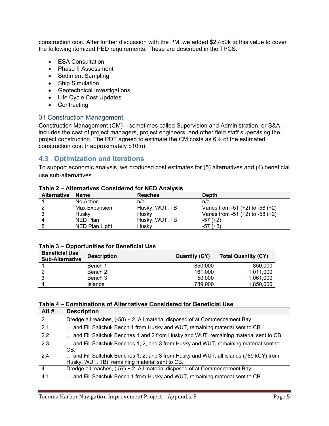construction cost. After further discussion with the PM, we added \$2,450k to this value to cover the following itemized PED requirements. These are described in the TPCS.

- ESA Consultation
- Phase II Assessment
- Sediment Sampling
- Ship Simulation
- Geotechnical Investigations
- Life Cycle Cost Updates
- Contracting

#### 31 Construction Management

Construction Management (CM) – sometimes called Supervision and Administration, or S&A – includes the cost of project managers, project engineers, and other field staff supervising the project construction. The PDT agreed to estimate the CM costs as 6% of the estimated construction cost (~approximately \$10m).

#### **4.3 Optimization and Iterations**

To support economic analysis, we produced cost estimates for (5) alternatives and (4) beneficial use sub-alternatives.

| <b>Alternative</b> | Name           | <b>Reaches</b> | <b>Depth</b>                         |
|--------------------|----------------|----------------|--------------------------------------|
|                    | No Action      | n/a            | n/a                                  |
|                    | Max Expansion  | Husky, WUT, TB | Varies from -51 $(+2)$ to -58 $(+2)$ |
|                    | Husky          | Husky          | Varies from $-51 (+2)$ to $-58 (+2)$ |
|                    | NED Plan       | Husky, WUT, TB | $-57 (+2)$                           |
|                    | NED Plan Light | Husky          | $-57 (+2)$                           |

#### <span id="page-4-0"></span>**Table 2 – Alternatives Considered for NED Analysis**

#### <span id="page-4-1"></span>**Table 3 – Opportunities for Beneficial Use**

| <b>Beneficial Use</b><br><b>Sub-Alternative</b> | <b>Description</b> | <b>Quantity (CY)</b> | <b>Total Quantity (CY)</b> |
|-------------------------------------------------|--------------------|----------------------|----------------------------|
|                                                 | Bench 1            | 850,000              | 850,000                    |
|                                                 | Bench 2            | 161.000              | 1,011,000                  |
|                                                 | Bench 3            | 50,000               | 1,061,000                  |
|                                                 | Islands            | 789.000              | 1,850,000                  |

#### <span id="page-4-2"></span>**Table 4 – Combinations of Alternatives Considered for Beneficial Use**

| Alt#           | <b>Description</b>                                                                                                                      |
|----------------|-----------------------------------------------------------------------------------------------------------------------------------------|
| $\overline{2}$ | Dredge all reaches, (-58) + 2, All material disposed of at Commencement Bay                                                             |
| 2.1            | and Fill Saltchuk Bench 1 from Husky and WUT, remaining material sent to CB.                                                            |
| 2.2            | and Fill Saltchuk Benches 1 and 2 from Husky and WUT, remaining material sent to CB.                                                    |
| 2.3            | and Fill Saltchuk Benches 1, 2, and 3 from Husky and WUT, remaining material sent to<br>CB.                                             |
| 2.4            | and Fill Saltchuk Benches 1, 2, and 3 from Husky and WUT; all islands (789 kCY) from<br>Husky, WUT, TB); remaining material sent to CB. |
| $\overline{4}$ | Dredge all reaches, (-57) + 2, All material disposed of at Commencement Bay                                                             |
| 4.1            | and Fill Saltchuk Bench 1 from Husky and WUT, remaining material sent to CB.                                                            |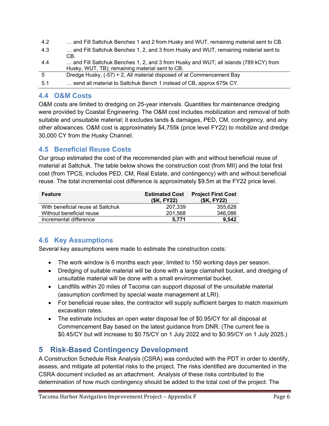| 4.2 | and Fill Saltchuk Benches 1 and 2 from Husky and WUT, remaining material sent to CB. |
|-----|--------------------------------------------------------------------------------------|
| 4.3 | and Fill Saltchuk Benches 1, 2, and 3 from Husky and WUT, remaining material sent to |
|     | CB.                                                                                  |
| 4.4 | and Fill Saltchuk Benches 1, 2, and 3 from Husky and WUT; all islands (789 kCY) from |
|     | Husky, WUT, TB); remaining material sent to CB.                                      |
| -5  | Dredge Husky, (-57) + 2, All material disposed of at Commencement Bay                |
| 5.1 | send all material to Saltchuk Bench 1 instead of CB, approx 675k CY.                 |
|     |                                                                                      |

#### **4.4 O&M Costs**

O&M costs are limited to dredging on 25-year intervals. Quantities for maintenance dredging were provided by Coastal Engineering. The O&M cost includes mobilization and removal of both suitable and unsuitable material; it excludes lands & damages, PED, CM, contingency, and any other allowances. O&M cost is approximately \$4,755k (price level FY22) to mobilize and dredge 30,000 CY from the Husky Channel.

#### **4.5 Beneficial Reuse Costs**

Our group estimated the cost of the recommended plan with and without beneficial reuse of material at Saltchuk. The table below shows the construction cost (from MII) and the total first cost (from TPCS, includes PED, CM, Real Estate, and contingency) with and without beneficial reuse. The total incremental cost difference is approximately \$9.5m at the FY22 price level.

| <b>Feature</b>                    | <b>Estimated Cost</b><br>(\$K, FY22) | <b>Project First Cost</b><br>(\$K, FY22) |
|-----------------------------------|--------------------------------------|------------------------------------------|
| With beneficial reuse at Saltchuk | 207.339                              | 355.628                                  |
| Without beneficial reuse          | 201.568                              | 346,086                                  |
| Incremental difference            | 5.771                                | 9.542                                    |

#### **4.6 Key Assumptions**

Several key assumptions were made to estimate the construction costs:

- The work window is 6 months each year, limited to 150 working days per season.
- Dredging of suitable material will be done with a large clamshell bucket, and dredging of unsuitable material will be done with a small environmental bucket.
- Landfills within 20 miles of Tacoma can support disposal of the unsuitable material (assumption confirmed by special waste management at LRI).
- For beneficial reuse sites, the contractor will supply sufficient barges to match maximum excavation rates.
- The estimate includes an open water disposal fee of \$0.95/CY for all disposal at Commencement Bay based on the latest guidance from DNR. (The current fee is \$0.45/CY but will increase to \$0.75/CY on 1 July 2022 and to \$0.95/CY on 1 July 2025.)

### <span id="page-5-0"></span>**5 Risk-Based Contingency Development**

A Construction Schedule Risk Analysis (CSRA) was conducted with the PDT in order to identify, assess, and mitigate all potential risks to the project. The risks identified are documented in the CSRA document included as an attachment. Analysis of these risks contributed to the determination of how much contingency should be added to the total cost of the project. The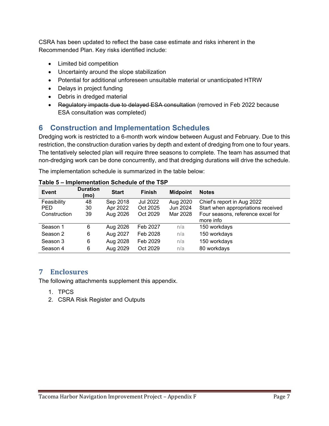CSRA has been updated to reflect the base case estimate and risks inherent in the Recommended Plan. Key risks identified include:

- Limited bid competition
- Uncertainty around the slope stabilization
- Potential for additional unforeseen unsuitable material or unanticipated HTRW
- Delays in project funding
- Debris in dredged material
- Regulatory impacts due to delayed ESA consultation (removed in Feb 2022 because ESA consultation was completed)

### <span id="page-6-0"></span>**6 Construction and Implementation Schedules**

Dredging work is restricted to a 6-month work window between August and February. Due to this restriction, the construction duration varies by depth and extent of dredging from one to four years. The tentatively selected plan will require three seasons to complete. The team has assumed that non-dredging work can be done concurrently, and that dredging durations will drive the schedule.

The implementation schedule is summarized in the table below:

| I UMU V      |                         |              | וטר טוויט טושטטערוטים שוויטוויטוש |                 |                                    |
|--------------|-------------------------|--------------|-----------------------------------|-----------------|------------------------------------|
| <b>Event</b> | <b>Duration</b><br>(mo) | <b>Start</b> | <b>Finish</b>                     | <b>Midpoint</b> | <b>Notes</b>                       |
| Feasibility  | 48                      | Sep 2018     | Jul 2022                          | Aug 2020        | Chief's report in Aug 2022         |
| <b>PED</b>   | 30                      | Apr 2022     | Oct 2025                          | Jun 2024        | Start when appropriations received |
| Construction | 39                      | Aug 2026     | Oct 2029                          | Mar 2028        | Four seasons, reference excel for  |
|              |                         |              |                                   |                 | more info                          |
| Season 1     | 6                       | Aug 2026     | Feb 2027                          | n/a             | 150 workdays                       |
| Season 2     | 6                       | Aug 2027     | Feb 2028                          | n/a             | 150 workdays                       |
| Season 3     | 6                       | Aug 2028     | Feb 2029                          | n/a             | 150 workdays                       |
| Season 4     | 6                       | Aug 2029     | Oct 2029                          | n/a             | 80 workdays                        |

#### <span id="page-6-2"></span>**Table 5 – Implementation Schedule of the TSP**

#### <span id="page-6-1"></span>**7 Enclosures**

The following attachments supplement this appendix.

- 1. TPCS
- 2. CSRA Risk Register and Outputs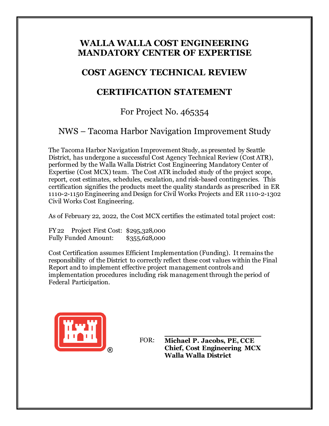### **WALLA WALLA COST ENGINEERING MANDATORY CENTER OF EXPERTISE**

### **COST AGENCY TECHNICAL REVIEW**

### **CERTIFICATION STATEMENT**

### For Project No. 465354

### NWS – Tacoma Harbor Navigation Improvement Study

The Tacoma Harbor Navigation Improvement Study, as presented by Seattle District, has undergone a successful Cost Agency Technical Review (Cost ATR), performed by the Walla Walla District Cost Engineering Mandatory Center of Expertise (Cost MCX) team. The Cost ATR included study of the project scope, report, cost estimates, schedules, escalation, and risk-based contingencies. This certification signifies the products meet the quality standards as prescribed in ER 1110-2-1150 Engineering and Design for Civil Works Projects and ER 1110-2-1302 Civil Works Cost Engineering.

As of February 22, 2022, the Cost MCX certifies the estimated total project cost:

FY22 Project First Cost: \$295,328,000 Fully Funded Amount: \$355,628,000

Cost Certification assumes Efficient Implementation (Funding). It remains the responsibility of the District to correctly reflect these cost values within the Final Report and to implement effective project management controls and implementation procedures including risk management through the period of Federal Participation.



**Michael P. Jacobs, PE, CCE Chief, Cost Engineering MCX Walla Walla District** FOR: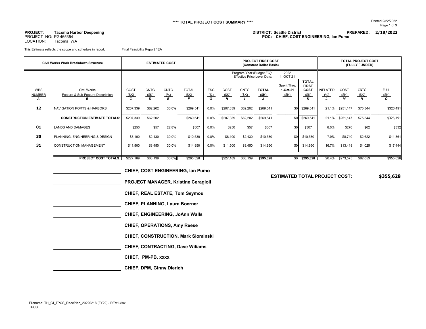LOCATION: Tacoma, WA

 $\overline{\phantom{0}}$ 

**PROJECT: DISTRICT: Seattle District PREPARED: 2/18/2022 Tacoma Harbor Deepening** PROJECT NO: P2 465354 **POC: CHIEF, COST ENGINEERING, Ian Pumo**

This Estimate reflects the scope and schedule in report; Final Feasibility Report / EA

| Civil Works Work Breakdown Structure | <b>ESTIMATED COST</b>                                        |                   |                          |                          |                           |                         |                   | <b>PROJECT FIRST COST</b><br>(Constant Dollar Basis) | <b>TOTAL PROJECT COST</b><br>(FULLY FUNDED)                     |                                 |                                   |                         |                   |                          |                                     |
|--------------------------------------|--------------------------------------------------------------|-------------------|--------------------------|--------------------------|---------------------------|-------------------------|-------------------|------------------------------------------------------|-----------------------------------------------------------------|---------------------------------|-----------------------------------|-------------------------|-------------------|--------------------------|-------------------------------------|
|                                      |                                                              |                   |                          |                          |                           |                         |                   |                                                      | Program Year (Budget EC):<br><b>Effective Price Level Date:</b> | 2022<br>1 OCT 21                | <b>TOTAL</b>                      |                         |                   |                          |                                     |
| <b>WBS</b><br><b>NUMBER</b><br>A     | <b>Civil Works</b><br>Feature & Sub-Feature Description<br>R | COST<br>(SK)<br>C | <b>CNTG</b><br>(SK)<br>D | <b>CNTG</b><br>(% )<br>E | <b>TOTAL</b><br>(SK)<br>E | <b>ESC</b><br>(% )<br>G | COST<br>(SK)<br>н | <b>CNTG</b><br>(SK)                                  | <b>TOTAL</b><br><u>(SK)</u>                                     | Spent Thru:<br>1-Oct-21<br>(SK) | <b>FIRST</b><br>COST<br>(SK)<br>ĸ | <b>INFLATED</b><br>(% ) | COST<br>(SK)<br>М | <b>CNTG</b><br>(SK)<br>N | <b>FULL</b><br>(SK)<br>$\mathbf{o}$ |
| 12                                   | <b>NAVIGATION PORTS &amp; HARBORS</b>                        | \$207,339         | \$62,202                 | 30.0%                    | \$269,541                 | $0.0\%$                 | \$207,339         | \$62,202                                             | \$269,541                                                       | \$0                             | \$269,541                         | 21.1%                   | \$251,147         | \$75,344                 | \$326,491                           |
|                                      | <b>CONSTRUCTION ESTIMATE TOTALS:</b>                         | \$207,339         | \$62,202                 |                          | \$269,541                 | $0.0\%$                 | \$207,339         | \$62,202                                             | \$269,541                                                       | \$0                             | \$269,541                         | 21.1%                   | \$251,147         | \$75,344                 | \$326,491                           |
| 01                                   | <b>LANDS AND DAMAGES</b>                                     | \$250             | \$57                     | 22.8%                    | \$307                     | $0.0\%$                 | \$250             | \$57                                                 | \$307                                                           | \$0                             | \$307                             | 8.0%                    | \$270             | \$62                     | \$332                               |
| 30                                   | PLANNING, ENGINEERING & DESIGN                               | \$8,100           | \$2,430                  | 30.0%                    | \$10,530                  | $0.0\%$                 | \$8,100           | \$2,430                                              | \$10,530                                                        | \$0                             | \$10,530                          | 7.9%                    | \$8,740           | \$2,622                  | \$11,361                            |
| 31                                   | <b>CONSTRUCTION MANAGEMENT</b>                               | \$11,500          | \$3,450                  | 30.0%                    | \$14,950                  | $0.0\%$                 | \$11,500          | \$3,450                                              | \$14,950                                                        | \$0                             | \$14,950                          | 16.7%                   | \$13,418          | \$4,025                  | \$17,444                            |
|                                      | <b>PROJECT COST TOTALS:</b>                                  | \$227,189         | \$68,139                 | 30.0%                    | \$295,328                 |                         | \$227,189         | \$68,139                                             | \$295,328                                                       | \$0                             | \$295,328                         | 20.4%                   | \$273,575         | \$82,053                 | \$355,628                           |

 **CHIEF, COST ENGINEERING, Ian Pumo PROJECT MANAGER, Kristine Ceragioli CHIEF, REAL ESTATE, Tom Seymou CHIEF, PLANNING, Laura Boerner CHIEF, ENGINEERING, JoAnn Walls CHIEF, OPERATIONS, Amy Reese CHIEF, CONSTRUCTION, Mark Slominski CHIEF, CONTRACTING, Dave Wiliams CHIEF, PM-PB, xxxx CHIEF, DPM, Ginny Dierich**

#### **ESTIMATED TOTAL PROJECT COST: \$355,628**

Page 1 of 3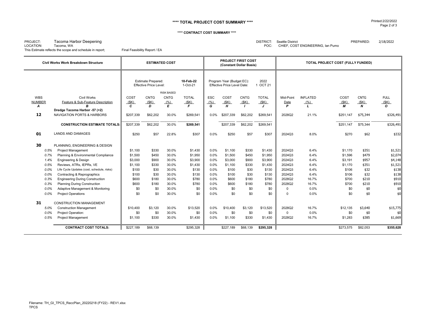#### **\*\*\*\* TOTAL PROJECT COST SUMMARY \*\*\*\*** Printed:2/22/2022

#### **\*\*\*\* CONTRACT COST SUMMARY \*\*\*\***

LOCATION: Tacoma, WA Tacoma, WA CHIEF, COST ENGINEERING, Ian Pumo<br>
This Estimate reflects the scope and schedule in report; Final Feasibility Report / EA This Estimate reflects the scope and schedule in report; This Estimate reflects the scope and schedule in report;

PROJECT: Tacoma Harbor Deepening DISTRICT: Seattle District PREPARED: 2/18/2022

|               | Civil Works Work Breakdown Structure       |              | <b>ESTIMATED COST</b>                                      |                   |                       |      |                                                          | <b>PROJECT FIRST COST</b><br>(Constant Dollar Basis) |                           | TOTAL PROJECT COST (FULLY FUNDED) |                 |           |             |              |  |
|---------------|--------------------------------------------|--------------|------------------------------------------------------------|-------------------|-----------------------|------|----------------------------------------------------------|------------------------------------------------------|---------------------------|-----------------------------------|-----------------|-----------|-------------|--------------|--|
|               |                                            |              | <b>Estimate Prepared:</b><br><b>Effective Price Level:</b> |                   | 18-Feb-22<br>1-Oct-21 |      | Program Year (Budget EC):<br>Effective Price Level Date: |                                                      | 2022<br>OCT <sub>21</sub> |                                   |                 |           |             |              |  |
|               |                                            |              |                                                            | <b>RISK BASED</b> |                       |      |                                                          |                                                      |                           |                                   |                 |           |             |              |  |
| <b>WBS</b>    | <b>Civil Works</b>                         | COST         | <b>CNTG</b>                                                | <b>CNTG</b>       | <b>TOTAL</b>          | ESC  | COST                                                     | <b>CNTG</b>                                          | <b>TOTAL</b>              | Mid-Point                         | <b>INFLATED</b> | COST      | <b>CNTG</b> | <b>FULL</b>  |  |
| <b>NUMBER</b> | Feature & Sub-Feature Description          | (SK)         | (SK)                                                       | (% )              | (SK)                  | (% ) | (SK)                                                     | (SK)                                                 | (SK)                      | Date                              | (% )            | (SK)      | (SK)        | (SK)         |  |
| A             | R                                          | $\mathbf{c}$ | D                                                          | E                 | $\mathbf{F}$          | G.   | H                                                        | $\mathbf{I}$                                         | $\cdot$                   | P                                 | $\mathbf{L}$    | М         | N           | $\mathbf{o}$ |  |
|               | Dredge Tacoma Harbor -57 (+2)              |              |                                                            |                   |                       |      |                                                          |                                                      |                           |                                   |                 |           |             |              |  |
| 12            | <b>NAVIGATION PORTS &amp; HARBORS</b>      | \$207,339    | \$62,202                                                   | 30.0%             | \$269,541             | 0.0% | \$207,339                                                | \$62,202                                             | \$269,541                 | 2028Q2                            | 21.1%           | \$251,147 | \$75,344    | \$326,491    |  |
|               | <b>CONSTRUCTION ESTIMATE TOTALS:</b>       | \$207,339    | \$62,202                                                   | 30.0%             | \$269,541             |      | \$207,339                                                | \$62,202                                             | \$269,541                 |                                   |                 | \$251,147 | \$75,344    | \$326,491    |  |
| 01            | <b>LANDS AND DAMAGES</b>                   | \$250        | \$57                                                       | 22.8%             | \$307                 | 0.0% | \$250                                                    | \$57                                                 | \$307                     | 2024Q3                            | 8.0%            | \$270     | \$62        | \$332        |  |
| 30            | PLANNING, ENGINEERING & DESIGN             |              |                                                            |                   |                       |      |                                                          |                                                      |                           |                                   |                 |           |             |              |  |
| 0.5%          | <b>Project Management</b>                  | \$1,100      | \$330                                                      | 30.0%             | \$1,430               | 0.0% | \$1,100                                                  | \$330                                                | \$1,430                   | 2024Q3                            | 6.4%            | \$1,170   | \$351       | \$1,521      |  |
| 0.7%          | Planning & Environmental Compliance        | \$1,500      | \$450                                                      | 30.0%             | \$1,950               | 0.0% | \$1,500                                                  | \$450                                                | \$1,950                   | 2024Q3                            | 6.4%            | \$1,596   | \$479       | \$2,074      |  |
| 1.4%          | Engineering & Design                       | \$3,000      | \$900                                                      | 30.0%             | \$3,900               | 0.0% | \$3,000                                                  | \$900                                                | \$3,900                   | 2024Q3                            | 6.4%            | \$3,191   | \$957       | \$4,148      |  |
| 0.5%          | Reviews, ATRs, IEPRs, VE                   | \$1,100      | \$330                                                      | 30.0%             | \$1,430               | 0.0% | \$1,100                                                  | \$330                                                | \$1,430                   | 2024Q3                            | 6.4%            | \$1,170   | \$351       | \$1,521      |  |
| 0.0%          | Life Cycle Updates (cost, schedule, risks) | \$100        | \$30                                                       | 30.0%             | \$130                 | 0.0% | \$100                                                    | \$30                                                 | \$130                     | 2024Q3                            | 6.4%            | \$106     | \$32        | \$138        |  |
| 0.0%          | Contracting & Reprographics                | \$100        | \$30                                                       | 30.0%             | \$130                 | 0.0% | \$100                                                    | \$30                                                 | \$130                     | 2024Q3                            | 6.4%            | \$106     | \$32        | \$138        |  |
| 0.3%          | <b>Engineering During Construction</b>     | \$600        | \$180                                                      | 30.0%             | \$780                 | 0.0% | \$600                                                    | \$180                                                | \$780                     | 2028Q2                            | 16.7%           | \$700     | \$210       | \$910        |  |
| 0.3%          | <b>Planning During Construction</b>        | \$600        | \$180                                                      | 30.0%             | \$780                 | 0.0% | \$600                                                    | \$180                                                | \$780                     | 2028Q2                            | 16.7%           | \$700     | \$210       | \$910        |  |
| 0.0%          | Adaptive Management & Monitoring           | \$0          | \$0                                                        | 30.0%             | \$0                   | 0.0% | \$0                                                      | \$0                                                  | \$0                       | $\Omega$                          | 0.0%            | \$0       | \$0         | \$0          |  |
| 0.0%          | <b>Project Operations</b>                  | \$0          | \$0                                                        | 30.0%             | \$0                   | 0.0% | \$0                                                      | \$0                                                  | \$0                       | $\Omega$                          | 0.0%            | \$0       | \$0         | \$0          |  |
| 31            | <b>CONSTRUCTION MANAGEMENT</b>             |              |                                                            |                   |                       |      |                                                          |                                                      |                           |                                   |                 |           |             |              |  |
| 5.0%          | <b>Construction Management</b>             | \$10,400     | \$3,120                                                    | 30.0%             | \$13,520              | 0.0% | \$10,400                                                 | \$3.120                                              | \$13,520                  | 2028Q2                            | 16.7%           | \$12,135  | \$3,640     | \$15,775     |  |
| 0.0%          | Project Operation:                         | \$0          | \$0                                                        | 30.0%             | \$0                   | 0.0% | \$0                                                      | \$0                                                  | \$0                       | $\Omega$                          | 0.0%            | \$0       | \$0         | \$0          |  |
| 0.5%          | <b>Project Management</b>                  | \$1,100      | \$330                                                      | 30.0%             | \$1,430               | 0.0% | \$1,100                                                  | \$330                                                | \$1,430                   | 2028Q2                            | 16.7%           | \$1,283   | \$385       | \$1,669      |  |
|               | <b>CONTRACT COST TOTALS:</b>               | \$227,189    | \$68,139                                                   |                   | \$295,328             |      | \$227.189                                                | \$68,139                                             | \$295,328                 |                                   |                 | \$273,575 | \$82,053    | \$355,628    |  |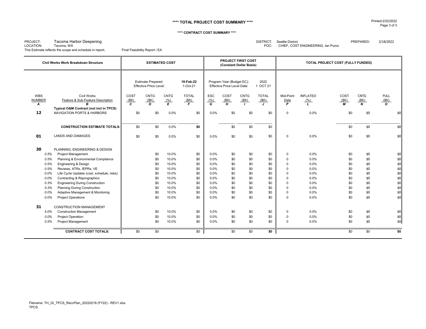#### **\*\*\*\* TOTAL PROJECT COST SUMMARY \*\*\*\*** Printed:2/22/2022

#### **\*\*\*\* CONTRACT COST SUMMARY \*\*\*\***

PROJECT: Tacoma Harbor Deepening DISTRICT: Seattle District PREPARED: 2/18/2022 LOCATION: Tacoma, WA Tacoma, WA CHIEF, COST ENGINEERING, Ian Pumo<br>
This Estimate reflects the scope and schedule in report; Final Feasibility Report / EA This Estimate reflects the scope and schedule in report; This Estimate reflects the scope and schedule in report;

 $\equiv$ 

|                                  | <b>Civil Works Work Breakdown Structure</b>                                      | <b>ESTIMATED COST</b>        |                                                            |                          |                                        |                                |                                                          | PROJECT FIRST COST<br>(Constant Dollar Basis) |                                 | TOTAL PROJECT COST (FULLY FUNDED)   |                                     |                   |                                         |                                |
|----------------------------------|----------------------------------------------------------------------------------|------------------------------|------------------------------------------------------------|--------------------------|----------------------------------------|--------------------------------|----------------------------------------------------------|-----------------------------------------------|---------------------------------|-------------------------------------|-------------------------------------|-------------------|-----------------------------------------|--------------------------------|
|                                  |                                                                                  |                              | <b>Estimate Prepared:</b><br><b>Effective Price Level:</b> |                          | 18-Feb-22<br>1-Oct-21                  |                                | Program Year (Budget EC):<br>Effective Price Level Date: |                                               | 2022<br>1 OCT 21                |                                     |                                     |                   |                                         |                                |
| <b>WBS</b><br><b>NUMBER</b><br>A | Civil Works<br>Feature & Sub-Feature Description<br>R                            | COST<br>(SK)<br>$\mathbf{c}$ | <b>CNTG</b><br>(SK)<br>D                                   | <b>CNTG</b><br>(% )<br>E | <b>TOTAL</b><br>(SK)<br>$\overline{F}$ | <b>ESC</b><br>$\frac{(\%)}{G}$ | COST<br>(SK)<br>$\overline{H}$                           | <b>CNTG</b><br>(SK)                           | <b>TOTAL</b><br>(SK)<br>$\cdot$ | Mid-Point<br>Date<br>$\overline{P}$ | <b>INFLATED</b><br>$\frac{(\%)}{L}$ | COST<br>(SK)<br>М | <b>CNTG</b><br>(SK)<br>$\boldsymbol{N}$ | <b>FULL</b><br>$rac{(\$K)}{O}$ |
| 12                               | Typical O&M Contract (not incl in TPCS)<br><b>NAVIGATION PORTS &amp; HARBORS</b> | \$0                          | \$0                                                        | 0.0%                     | \$0                                    | 0.0%                           | \$0                                                      | \$0                                           | \$0                             | $\Omega$                            | 0.0%                                | \$0               | \$0                                     | \$0                            |
|                                  | <b>CONSTRUCTION ESTIMATE TOTALS:</b>                                             | \$0                          | \$0                                                        | 0.0%                     | \$0                                    |                                | \$0                                                      | \$0                                           | \$0                             |                                     |                                     | \$0               | \$0                                     | \$0                            |
| 01                               | <b>LANDS AND DAMAGES</b>                                                         | \$0                          | \$0                                                        | 0.0%                     | \$0                                    | 0.0%                           | \$0                                                      | \$0                                           | \$0                             | $\Omega$                            | 0.0%                                | \$0               | \$0                                     | \$0                            |
| 30<br>0.5%                       | PLANNING, ENGINEERING & DESIGN<br><b>Project Management</b>                      |                              | \$0                                                        | 10.0%                    | \$0                                    | 0.0%                           | \$0                                                      | \$0                                           | \$0                             | $\mathbf 0$                         | 0.0%                                | \$0               | \$0                                     | \$0                            |
| 0.5%                             | Planning & Environmental Compliance                                              |                              | \$0                                                        | 10.0%                    | \$0                                    | 0.0%                           | \$0                                                      | \$0                                           | \$0                             | $\Omega$                            | 0.0%                                | \$0               | \$0                                     | \$0                            |
| 0.5%                             | Engineering & Design                                                             |                              | \$0                                                        | 10.0%                    | \$0                                    | 0.0%                           | \$0                                                      | \$0                                           | \$0                             | $\Omega$                            | 0.0%                                | \$0               | \$0                                     | \$0                            |
| 0.5%                             | Reviews, ATRs, IEPRs, VE                                                         |                              | \$0                                                        | 10.0%                    | \$0                                    | $0.0\%$                        | \$0                                                      | \$0                                           | \$0                             | $\Omega$                            | 0.0%                                | \$0               | \$0                                     | \$0                            |
| $0.0\%$                          | Life Cycle Updates (cost, schedule, risks)                                       |                              | \$0                                                        | 10.0%                    | \$0                                    | 0.0%                           | \$0                                                      | \$0                                           | \$0                             | $\Omega$                            | 0.0%                                | \$0               | \$0                                     | \$0                            |
| $0.0\%$                          | Contracting & Reprographics                                                      |                              | \$0                                                        | 10.0%                    | \$0                                    | 0.0%                           | \$0                                                      | \$0                                           | \$0                             | $\Omega$                            | 0.0%                                | \$0               | \$0                                     | \$0                            |
| 0.3%                             | <b>Engineering During Construction</b>                                           |                              | \$0                                                        | 10.0%                    | \$0                                    | 0.0%                           | \$0                                                      | \$0                                           | \$0                             | $\Omega$                            | 0.0%                                | \$0               | \$0                                     | \$0                            |
| 0.3%                             | <b>Planning During Construction</b>                                              |                              | \$0                                                        | 10.0%                    | \$0                                    | 0.0%                           | \$0                                                      | \$0                                           | \$0                             | $\Omega$                            | 0.0%                                | \$0               | \$0                                     | \$0                            |
| 0.0%                             | Adaptive Management & Monitoring                                                 |                              | \$0                                                        | 10.0%                    | \$0                                    | 0.0%                           | \$0                                                      | \$0                                           | \$0                             | $\Omega$                            | 0.0%                                | \$0               | \$0                                     | \$0                            |
| 0.0%                             | <b>Project Operations</b>                                                        |                              | \$0                                                        | 10.0%                    | \$0                                    | 0.0%                           | \$0                                                      | \$0                                           | \$0                             | $\Omega$                            | 0.0%                                | \$0               | \$0                                     | \$0                            |
| 31                               | <b>CONSTRUCTION MANAGEMENT</b>                                                   |                              |                                                            |                          |                                        |                                |                                                          |                                               |                                 |                                     |                                     |                   |                                         |                                |
| 5.0%                             | <b>Construction Management</b>                                                   |                              | \$0                                                        | 10.0%                    | \$0                                    | 0.0%                           | \$0                                                      | \$0                                           | \$0                             | $\mathbf 0$                         | 0.0%                                | \$0               | \$0                                     | \$0                            |
| 0.0%                             | Project Operation:                                                               |                              | \$0                                                        | 10.0%                    | \$0                                    | 0.0%                           | \$0                                                      | \$0                                           | \$0                             | $\Omega$                            | 0.0%                                | \$0               | \$0                                     | \$0                            |
| 0.5%                             | <b>Project Management</b>                                                        |                              | \$0                                                        | 10.0%                    | \$0                                    | 0.0%                           | \$0                                                      | \$0                                           | \$0                             | 0                                   | 0.0%                                | \$0               | \$0                                     | \$0                            |
|                                  | <b>CONTRACT COST TOTALS:</b>                                                     | \$0                          | \$0                                                        |                          | \$0                                    |                                | \$0                                                      | \$0                                           | \$0                             |                                     |                                     | \$0               | \$0                                     | \$0                            |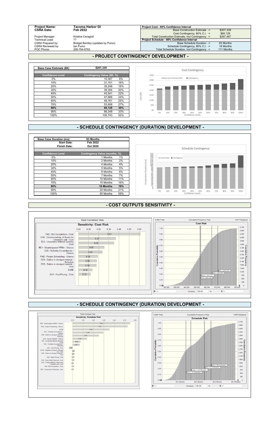### **Project Name:** Tacoma Harbor GI<br> **CSRA Date:** Feb 2022

| <b>Project Name:</b> | Tacoma Harbor Gl                  | <b>Project Cost - 80% Confidence Interval</b>     |            |  |  |  |  |  |  |  |  |
|----------------------|-----------------------------------|---------------------------------------------------|------------|--|--|--|--|--|--|--|--|
| <b>CSRA Date:</b>    | Feb 2022                          | <b>Base Construction Estimate -&gt;</b>           | \$207.339  |  |  |  |  |  |  |  |  |
|                      |                                   | Cost Contingency, 80% C.I. ->                     | \$60.128   |  |  |  |  |  |  |  |  |
| Project Manager:     | Kristine Ceragioli                | Total Construction Estimate, Incl Contingency ->  | \$267,467  |  |  |  |  |  |  |  |  |
| Technical Lead:      |                                   | <b>Project Schedule - 80% Confidence Interval</b> |            |  |  |  |  |  |  |  |  |
| CSRA Prepared by:    | Bridget Bentley (updates by Pumo) | Base Schedule Duration ->                         | 93 Months  |  |  |  |  |  |  |  |  |
| CSRA Reviewed by:    | lan Pumo                          | Schedule Contingency, 80% C.I. ->                 | 18 Months  |  |  |  |  |  |  |  |  |
| POC Phone:           | 206-764-6763                      | Total Schedule Duration. Incl Contingency ->      | 111 Months |  |  |  |  |  |  |  |  |

| Base Case Estimate (\$K) | \$207,339                  |     |
|--------------------------|----------------------------|-----|
| <b>Confidence Level</b>  | Contingency Value (\$K, %) |     |
| 0%                       | 10,367                     | 6%  |
| 10%                      | 31,101                     | 16% |
| 20%                      | 35,248                     | 18% |
| 30%                      | 39,394                     | 20% |
| 40%                      | 43,541                     | 22% |
| 50%                      | 47,688                     | 24% |
| 60%                      | 49.761                     | 25% |
| 70%                      | 53,908                     | 27% |
| 80%                      | 60.128                     | 30% |
| 90%                      | 66,348                     | 33% |
| 100%                     | 105,743                    | 52% |



| <b>Base Case Duration (mo)</b> | 93 Months                     |
|--------------------------------|-------------------------------|
| <b>Start Date:</b>             | Feb 2022                      |
| <b>Finish Date:</b>            | Oct 2029                      |
|                                |                               |
| <b>Confidence Level</b>        | Contingency Value (months, %) |
| 0%                             | $1\%$<br>1 Months             |
| 10%                            | 2 Months<br>2%                |
| 20%                            | 4 Months<br>4%                |
| 30%                            | 5%<br>5 Months                |
| 40%                            | 6 Months<br>6%                |
| 50%                            | 7 Months<br>7%                |
| 60%                            | 10 Months<br>11%              |
| 70%                            | 15 Months<br>16%              |
| 80%                            | <b>18 Months</b><br>19%       |
| 90%                            | 20 Months<br>21%              |
| 100%                           | 59%<br>55 Months              |

#### **- PROJECT CONTINGENCY DEVELOPMENT -**

#### **- SCHEDULE CONTINGENCY (DURATION) DEVELOPMENT -**



#### **- COST OUTPUTS SENSITIVITY -**



#### **- SCHEDULE CONTINGENCY (DURATION) DEVELOPMENT -**

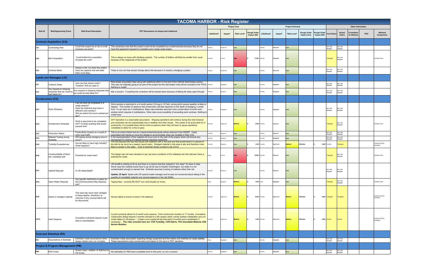| <b>TACOMA HARBOR - Risk Register</b> |                                                                            |                                                                                                                                                            |                                                                                                                                                                                                                                                                                                                                                                                                                                                        |                     |                 |                   |                                   |                 |                         |                    |                            |                             |                            |                            |                            |            |                                    |  |  |  |  |
|--------------------------------------|----------------------------------------------------------------------------|------------------------------------------------------------------------------------------------------------------------------------------------------------|--------------------------------------------------------------------------------------------------------------------------------------------------------------------------------------------------------------------------------------------------------------------------------------------------------------------------------------------------------------------------------------------------------------------------------------------------------|---------------------|-----------------|-------------------|-----------------------------------|-----------------|-------------------------|--------------------|----------------------------|-----------------------------|----------------------------|----------------------------|----------------------------|------------|------------------------------------|--|--|--|--|
|                                      |                                                                            |                                                                                                                                                            |                                                                                                                                                                                                                                                                                                                                                                                                                                                        | <b>Project Cost</b> |                 |                   |                                   |                 | <b>Project Schedule</b> |                    |                            |                             |                            |                            | <b>Other Information</b>   |            |                                    |  |  |  |  |
| <b>Risk ID</b>                       | <b>Risk/Opportunity Event</b>                                              | <b>Risk Event Description</b>                                                                                                                              | PDT Discussions on Impact and Likelihood                                                                                                                                                                                                                                                                                                                                                                                                               | Likelihood*         | Impact*         | <b>Risk Level</b> | <b>Rough Orde</b><br>Impact (\$K) | Likelihood*     | Impact*                 | <b>Risk Level*</b> | Rough Order<br>Impact (mo) | Rough Order<br>Impact (\$K) | <b>Cost Distro</b>         | Sched.<br><b>Distro</b>    | Correlatior<br>to Other(s) | <b>POC</b> | Affected<br>Component              |  |  |  |  |
|                                      | <b>Contract Acquisition (CA)</b>                                           |                                                                                                                                                            |                                                                                                                                                                                                                                                                                                                                                                                                                                                        |                     |                 |                   |                                   |                 |                         |                    |                            |                             |                            |                            |                            |            |                                    |  |  |  |  |
| CA <sub>1</sub>                      | Contracting Plan                                                           | Could this project be an 8a or small<br>business set-aside?                                                                                                | The consensus was that this project could not be completed by a small business because they do not<br>have the equipment required to complete such a large scale project.                                                                                                                                                                                                                                                                              | likely              | oderate         |                   |                                   | <b>Jnlikely</b> | oderate                 |                    |                            |                             | N/A -Not<br>xieled         | N/A -Not<br><b>Andeled</b> |                            |            |                                    |  |  |  |  |
| CA <sub>2</sub>                      | <b>Bid Competition</b>                                                     | Could limited bid competition<br>increase the cost?                                                                                                        | This is always an issue with dredging projects. The number of bidders will likely be smaller than usual<br>because of the magnitude of the project.                                                                                                                                                                                                                                                                                                    | ossible             | critical        |                   | 17,000                            | Unlikely        | Negligible              |                    |                            |                             | riangular                  | VA-Not<br>Modeled          |                            |            | Contract Cost                      |  |  |  |  |
| CA3                                  | <b>Contract Mods</b>                                                       | Always a risk, but does this project<br>have any aspects that will make<br>them more likely.                                                               | There is not a lot that should change about this because it is mostly a dredging a project.                                                                                                                                                                                                                                                                                                                                                            | Jnlikely            | oderate         |                   |                                   | <b>Unlikely</b> | loderate                |                    |                            |                             | N/A -Not<br><b>fodeled</b> | N/A -Not<br>Modeled        |                            |            |                                    |  |  |  |  |
|                                      | <b>Lands and Damages (LD)</b>                                              |                                                                                                                                                            |                                                                                                                                                                                                                                                                                                                                                                                                                                                        |                     |                 |                   |                                   |                 |                         |                    |                            |                             |                            |                            |                            |            |                                    |  |  |  |  |
| LD1                                  | <b>Cutback Areas</b>                                                       | How can this impact costs?<br>Timeline? Will we need to                                                                                                    | Real estate acqusistion fees along with additional effort on the part of the USACE Real Estate section.<br>This was not originally going to be part of the project but the real estate costs will be included in the TPCS. Unlikely<br>Nothing to model.                                                                                                                                                                                               |                     | legligible      |                   |                                   | <b>Unlikely</b> | legligible              |                    |                            |                             | N/A -Not<br>odeled         | VA-Not<br><b>fodeled</b>   |                            |            |                                    |  |  |  |  |
| LD <sub>2</sub>                      | Any impacts to shipping<br>industries that we could be<br>held liable for? | Any impacts to shipping industries that<br>we could be held liable for?                                                                                    | Not a concern. If anything the contractor will be slowed down because of letting the ships pass through.                                                                                                                                                                                                                                                                                                                                               | likely              | arginal         |                   |                                   | Jnlikely        | legligible              |                    |                            |                             | N/A -Not<br>Modeled        | VA-Not<br>Aodeled          |                            |            |                                    |  |  |  |  |
| <b>Construction (CO)</b>             |                                                                            |                                                                                                                                                            |                                                                                                                                                                                                                                                                                                                                                                                                                                                        |                     |                 |                   |                                   |                 |                         |                    |                            |                             |                            |                            |                            |            |                                    |  |  |  |  |
| CO <sub>1</sub>                      | Work Windows                                                               | Can the work be completed in a<br>single season?<br>Does the Saltchuk area have a<br>different work window?<br>Will we restrict the hours worked pe<br>Neh | Work window is restricted to a 6 month period (16 Aug to 15 Feb), during which severe weather is likely to<br>happen. The number of seasons that construction will take depends on the depth of dredging, it varies<br>from 1 to as many as 4 mobilizations. Base case estimate assumes more conservaitve 5-month work<br>window which requires 4 mobilizations. Other risks cover possibility of exceeding work windows. Nothing to<br>model here.    |                     | legligible      |                   |                                   | Jnlikely        | Negligible              |                    |                            |                             | N/A -Not<br><b>Aodeled</b> | N/A -Not<br>Modeled        |                            |            |                                    |  |  |  |  |
| CO <sub>2</sub>                      | <b>Construction Schedule</b>                                               | Work is assumed to be completed<br>24/7? Is there anything that would<br>prevent this?                                                                     | 24/7 Operation is a reasonable assumption. Shipping operations will continue during this time however<br>and schedules can be unpredictable due to weather and other issues. This needs to be accounted for in<br>productivity. It is possible there will be a few occastions when they will have to pause operations<br>completely to allow for a ship to pass.                                                                                       | ossible             | Significant     | <b>Medium</b>     |                                   | 3,000 Unlikely  | legligible              |                    |                            |                             | riangular                  | N/A -Not<br>Modeled        |                            |            | Contract Cost                      |  |  |  |  |
| CO <sub>3</sub>                      | <b>Production Rates</b>                                                    | Producitivity impacts as a result of<br>other boat traffic                                                                                                 | This is an active harbor and as a result productivity levels will be reduced in the CEDEP. Costs<br>associated with having to move the dredge to accommodate ships are modeled in Risk CO2.                                                                                                                                                                                                                                                            | sible               | arginal         |                   |                                   | Unlikely        | larginal                |                    |                            |                             | N/A -Not<br>ndeler         | N/A -Not<br>lodeled        |                            |            |                                    |  |  |  |  |
| CO <sub>4</sub>                      | Material Testing during<br>dredging                                        | Will testing during dredging have to<br>occur?                                                                                                             | A full characterization of the material will occur prior to the start of the project which will remove any<br>requirement for testing of material beyond standard monitoring.                                                                                                                                                                                                                                                                          |                     | arginal         |                   |                                   | ossible         | legligible              |                    |                            |                             | N/A -Not<br>Indeled        | N/A -Not<br><b>Modeled</b> |                            |            |                                    |  |  |  |  |
| CO5                                  | <b>Turbidity Exceedences</b>                                               | Are we likely to have high turbidity?<br>What happens?                                                                                                     | The CB Disposal site has had issues with sediment drift in the past and that would result in a closure of<br>the site for as much as a season (worst case). Dredged material in this area is silty and therefore more<br>likely to remain in the water. Cost of potential remob covered in risk CO10.                                                                                                                                                  | ssible              | arginal         |                   | 1,250                             | Possible        | Significant             | adiun              | <b>Months</b>              | 3,000                       | Yes-No                     | riangular                  |                            |            | Contract Cost &<br>chedule         |  |  |  |  |
| CO <sub>6</sub>                      | Constructability of Rock<br>toe / sheetpile wall                           | Potential for mods here?                                                                                                                                   | The design has not been decided on yet, but since conditions of the sideslope are still unknown there is<br>potential for mods.                                                                                                                                                                                                                                                                                                                        |                     | ritical         |                   | 12,000                            | ossible         | Marginal                |                    |                            |                             | riangular                  | N/A -Not<br>Modeled        |                            |            | Contract Cost                      |  |  |  |  |
| CO <sub>7</sub>                      | <b>Upland Disposal</b>                                                     | Is LRI dependable?                                                                                                                                         | LRI landfill is starting to fill up and there is a chance that this material is "too clean" for them to take.<br>Worst case the material would have to go all the way to Eastern Washington, but really it is not<br>contaminated enough to warrant that. Estimate assumes trucking of material rather than rail.<br>Update, 25 April: Spoke with LRI special waste manager and he was not concerned about taking in the                               | Possible            | Marginal        |                   |                                   | ossible         | Marginal                |                    |                            |                             | N/A -Not<br>Modeled        | N/A -Not<br>Modeled        |                            |            |                                    |  |  |  |  |
| CO <sub>8</sub>                      | Open Water Disposal                                                        | Any specific restrictions in place for<br>the Commencement Bay Disposal                                                                                    | quantity of unsuitable material over several seasons in the mid 2020s.<br>Tipping fees - currently \$0.45/CY but could double (or more).                                                                                                                                                                                                                                                                                                               | Likely              | <b>Aarginal</b> | <b>Medium</b>     | <b>1,000 Likely</b>               |                 | Negligible              |                    |                            |                             | riangular                  | N/A -Not<br>Modeled        |                            |            | Contract Cost                      |  |  |  |  |
| CO <sub>9</sub>                      | Debris in dredged material                                                 | site?<br>This area has never been dredged<br>to these depths, therefore it is<br>unknown if any unusual debris will<br>be discovered.                      | Woody debris is known to exist in the Saltchuk                                                                                                                                                                                                                                                                                                                                                                                                         | Possible            | Significant     | <b>Mediun</b>     |                                   | 6,000 Possible  | Significant             |                    | Months                     | 5,000                       | Triangular                 | <b>Triangular</b>          |                            |            | Contract Cost &<br><b>Schedule</b> |  |  |  |  |
| <b>CO10</b>                          | <b>Add'l Seasons</b>                                                       | Cumulative schedule impacts could<br>lead to remobilization.                                                                                               | Current schedule allows for 5-month work seasons. Total construction duration is 17 months. Cumulative<br>construction delays beyond 3 months will lead to a 5th season which carries another mobilization and a 6-<br>month delay for off-season Create a non-crystal bill risk that add's 6 months and a mobilization if<br>necessary The risks included here are: CO5 Turbidity, CO9 Debris, TD3 Unsuitable Material, EX4<br><b>Severe Weather.</b> |                     | Significant     | <b>Medium</b>     |                                   | 1,250 Possible  | Significant             | Medium             | Months                     |                             | 5,000 Yes-No               | Yes-No                     |                            |            | Contract Cost &<br>hedule          |  |  |  |  |
|                                      | <b>Cost and Schedule (ES)</b>                                              |                                                                                                                                                            |                                                                                                                                                                                                                                                                                                                                                                                                                                                        |                     |                 |                   |                                   |                 |                         |                    |                            |                             |                            |                            |                            |            |                                    |  |  |  |  |
| ES <sub>1</sub>                      | Assumptions in Estimate                                                    | Estimator made assumptions when<br>design details were not complete.                                                                                       | Estimator made assumption regarding dredge equipment and the means and methods for slope stability.<br>These assumptions were conservative and based on the input or PDT members.                                                                                                                                                                                                                                                                      |                     | egligible       |                   |                                   | Possible        | Negligible              | Low                |                            |                             | N/A -Not<br>lodeled        | N/A -Not<br>Modeled        |                            |            |                                    |  |  |  |  |
|                                      | <b>Project &amp; Program Management (PM)</b>                               |                                                                                                                                                            |                                                                                                                                                                                                                                                                                                                                                                                                                                                        |                     |                 |                   |                                   |                 |                         |                    |                            |                             |                            |                            |                            |            |                                    |  |  |  |  |
| PM <sub>1</sub>                      | PED Costs                                                                  | Scope creep / addition of Saltchuk to<br>the scope                                                                                                         | No estimates for PED were completed prior to this point, so not a concern.                                                                                                                                                                                                                                                                                                                                                                             | nlikely             | egligible       |                   |                                   | Jnlikely        | Vegligible              |                    |                            |                             | N/A -Not<br>lodeled        | N/A -Not<br>Modeled        |                            |            |                                    |  |  |  |  |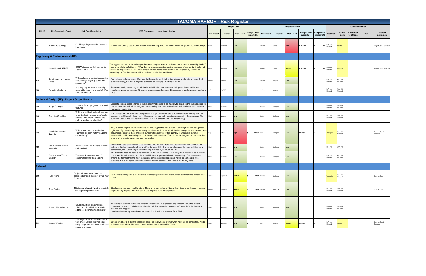|                 | <b>TACOMA HARBOR - Risk Register</b>                |                                                                                                                                                     |                                                                                                                                                                                                                                                                                                                                                                                                                                                                                      |                     |             |               |                            |                |            |                         |                                   |                             |                            |                         |                            |            |                            |  |
|-----------------|-----------------------------------------------------|-----------------------------------------------------------------------------------------------------------------------------------------------------|--------------------------------------------------------------------------------------------------------------------------------------------------------------------------------------------------------------------------------------------------------------------------------------------------------------------------------------------------------------------------------------------------------------------------------------------------------------------------------------|---------------------|-------------|---------------|----------------------------|----------------|------------|-------------------------|-----------------------------------|-----------------------------|----------------------------|-------------------------|----------------------------|------------|----------------------------|--|
|                 |                                                     |                                                                                                                                                     |                                                                                                                                                                                                                                                                                                                                                                                                                                                                                      | <b>Project Cost</b> |             |               |                            |                |            | <b>Project Schedule</b> |                                   |                             | <b>Other Information</b>   |                         |                            |            |                            |  |
| <b>Risk ID</b>  | <b>Risk/Opportunity Event</b>                       | <b>Risk Event Description</b>                                                                                                                       | PDT Discussions on Impact and Likelihood                                                                                                                                                                                                                                                                                                                                                                                                                                             | Likelihood*         | Impact*     | Risk Level*   | Rough Orde<br>Impact (\$K) | Likelihood*    | Impact*    | <b>Risk Level*</b>      | <b>Rough Order</b><br>Impact (mo) | Rough Order<br>Impact (\$K) | <b>Cost Distro</b>         | Sched.<br><b>Distro</b> | Correlation<br>to Other(s) | <b>POC</b> | Affected<br>Component      |  |
| PM <sub>2</sub> | <b>Project Scheduling</b>                           | Could anything cause the project to<br>be delayed                                                                                                   | If there are funding delays or difficulties with land acquisition the execution of the project could be delayed. Unlikely                                                                                                                                                                                                                                                                                                                                                            |                     | oderate     |               |                            | ossible        | Critical   |                         | 2 Months                          | 7,000                       | VA-Not<br>odeled           | es-No                   |                            |            | Project Cost & Schedule    |  |
|                 | <b>Regulatory &amp; Environmental (RE)</b>          |                                                                                                                                                     |                                                                                                                                                                                                                                                                                                                                                                                                                                                                                      |                     |             |               |                            |                |            |                         |                                   |                             |                            |                         |                            |            |                            |  |
| RE <sub>1</sub> | <b>Unanticipated HTRW</b>                           | HTRW discovered that can not be<br>disposed of at LRI                                                                                               | The biggest concern is the sideslopes because samples were not collected here. As discussed by the PDT<br>there is no official definition of HTRW, but we are concerned about the existence of any contaminents that<br>can not be disposed of at LRI. According to Kristen Kerns this would not be our problem, it would be<br>something the Port has to deal with so it should not be included in cost.                                                                            | Jnlikely            | gligible    |               |                            | nlikelv        | Critical   |                         | 12 Months                         | 7,000                       | V/A -Not<br>odeled         | inomial                 |                            |            | Project Cost & Schedule    |  |
| RE <sub>2</sub> | Requirement to change<br>scope                      | Will regulatory organizations requin<br>us to change anything about the<br>design, etc?                                                             | Not believed to be an issue. We have to file permits, work in the fish window, and make sure we don't<br>exceed turbidity, but that is all pretty standard for dredging. Nothing to model                                                                                                                                                                                                                                                                                            | ssible              | arginal     |               |                            | ossible        | larginal   |                         |                                   |                             | V/A -Not<br><b>Aodeled</b> | N/A -Not<br>Aodeled     |                            |            |                            |  |
| RE3             | <b>Turbidity Monitoring</b>                         | Anything beyond what is typically<br>required for dredging projects? Wha<br>about at Saltchuk?                                                      | Baseline turbidity monitoring should be included in the base estimate. It is possible that additional<br>monitoring would be required if there are exceedences detected. Exceedence impacts are documented in Possible<br>CO <sub>5</sub>                                                                                                                                                                                                                                            |                     | egligible   |               |                            | ossible        | larginal   |                         |                                   |                             | V/A -Not<br>Aodeled        | N/A -Not<br>Modeled     |                            |            |                            |  |
|                 | <b>Technical Design (TD) / Project Scope Growth</b> |                                                                                                                                                     |                                                                                                                                                                                                                                                                                                                                                                                                                                                                                      |                     |             |               |                            |                |            |                         |                                   |                             |                            |                         |                            |            |                            |  |
| TD1             | Scope Changes                                       | Potential for scope growth or added<br>features                                                                                                     | Biggest potential scope change is the decision that needs to be made with regard to the cutback areas for<br>this estimate that risk will be mitigated by assuming that sheetpile walls will be installed at each location.<br>No need to model this                                                                                                                                                                                                                                 | nlikely             | gligible    |               |                            | Inlikely       | Negligible |                         |                                   |                             | I/A -Not<br>Aodeled        | N/A -Not<br>Aodeled     |                            |            |                            |  |
| TD <sub>2</sub> | <b>Dredging Quantites</b>                           | Will the quantity of material needing<br>to be dredged increase significantly<br>between the time of the estimate<br>and the start of construction? | It is unlikely that there will be any significant change because there is no body of water flowing into the<br>waterway. Additionally, there has not been any requirement for maintence dredging the waterway. The<br>quantited used in the cost estimate include 2 ft of overdepth and 10% for shoaling.                                                                                                                                                                            | nlikely             | arginal     |               |                            | nlikely        | legligible |                         |                                   |                             | V/A -Not<br>Modeled        | N/A -Not<br>Modeled     |                            |            |                            |  |
| TD3             | Unsuitable Material<br>Quantity                     | Will the assumptions made about<br>quanitties for open water vs upland<br>disposal vary?                                                            | Yes, to some degree. We don't have a lot sampling for the side slopes so assumptions are being made<br>right now. By breaking up the waterway into three sections we should be increasing the accuracy of these<br>assumption, however there are still a number of unknowns. If the quantitiy of unsuitable material<br>increased it could have an impact on both cost and schedule. This can not be mitigated at this point, but<br>once a full characterization has been completed |                     | ritical     |               | 11,000 Likely              |                | Vegligible |                         | <b>Months</b>                     |                             | riangular                  | N/A -Not<br>Modeled     |                            |            | Contract Cost &<br>chedule |  |
| TD4             | Non-Native vs Native<br>Materials                   | Differences in how they are remvoe<br>and handled?                                                                                                  | Non-native materials will need to be screened prior to open water disposal - this will be included in the<br>estimate. Native materials will be significantly more difficult to remove because they are undisturbed and<br>compacted, etc. Count on productivity being reduced by as much as ~1/2.                                                                                                                                                                                   | Jnlikely            | arginal     |               |                            | Inlikely       | Vegligible |                         |                                   |                             | V/A -Not<br><b>Aodeled</b> | N/A -Not<br>Modeled     |                            |            |                            |  |
| TD5             | Cutback Area/ Slope<br>Stability                    | There are 4 areas that are of<br>concern following the ShipSim                                                                                      | The team still does not have a set solution for these 4 locations. Most likely there will either be cutbacks<br>or a sheetpile wall installed in order to stabilize the slopes and allow for deepening. The consensus<br>among the team is that the most technically complicated and expensive would be a sheetpile wall,<br>therefore this is the option that will be included in the estimate. No need to model any risks.                                                         | Inlikely            | gligible    |               |                            | nlikely        | Vegligible |                         |                                   |                             | VA-Not<br>Aodeled          | V/A -Not<br>Aodeled     |                            |            |                            |  |
| <b>External</b> |                                                     |                                                                                                                                                     |                                                                                                                                                                                                                                                                                                                                                                                                                                                                                      |                     |             |               |                            |                |            |                         |                                   |                             |                            |                         |                            |            |                            |  |
| EX <sub>1</sub> | <b>Fuel Pricing</b>                                 | Proiect will take place over 2-3<br>seasons therefore the cost of fuel may costs.<br>flucuate.                                                      | Fuel price is a major drive for the costs of dredging and an increase in price would increase construction                                                                                                                                                                                                                                                                                                                                                                           | Possible            | Significant | <b>Medium</b> |                            | 4,000 Possible | Negligible |                         |                                   |                             | riangular                  | N/A -Not<br>Modeled     |                            |            | Contract Cost              |  |
| EX2             | <b>Steel Pricing</b>                                | This is only relevant if we the sheetpile<br>retaining wall option is used.                                                                         | Steel pricing has been volatile lately. There is no way to know if that will continue to be the case, but the<br>large quantity required means that the cost impacts could be significant.                                                                                                                                                                                                                                                                                           | 'ossible            | ignificant  | <b>Medium</b> |                            | 3,000 Possible | Vegligible |                         |                                   |                             | N/A -Not<br>Modeled        | N/A -Not<br>Modeled     |                            |            | Contract Cost              |  |
| EX3             | Stakeholder Influence                               | Could input from stakeholders,<br>tribes, or political influence lead to<br>additional requirements or delays?                                      | According to the Port of Tacoma reps the tribes have not expressed any concern about the project<br>previously. If anything it is believed that they will find the project even more "tolerable" if the Saltchuk<br>disposal site happens.<br>Land acquisition may be an issue for sites 2-3, this risk is accounted for in PM2                                                                                                                                                      | Inlikely            | egligible   |               |                            | Inlikely       | Negligible |                         |                                   |                             | N/A -Not<br>Modeled        | N/A -Not<br>Modeled     |                            |            |                            |  |
| EX4             | Severe Weather                                      | The project work window is already<br>very small. Severe weather could<br>delay the project and force additiona<br>seasons or mobs.                 | Severe weather is a definite possibility based on the window of time when work will be completed. Model<br>schedule impact here. Potentail cost of mob/remob is covered in CO10.                                                                                                                                                                                                                                                                                                     | Jnlikely            | gligible    |               |                            | Likely         | Marginal   | Medium                  | <b>Months</b>                     |                             | N/A -Not<br>Modeled        | es-No                   |                            |            | Contract Cost &<br>chedule |  |